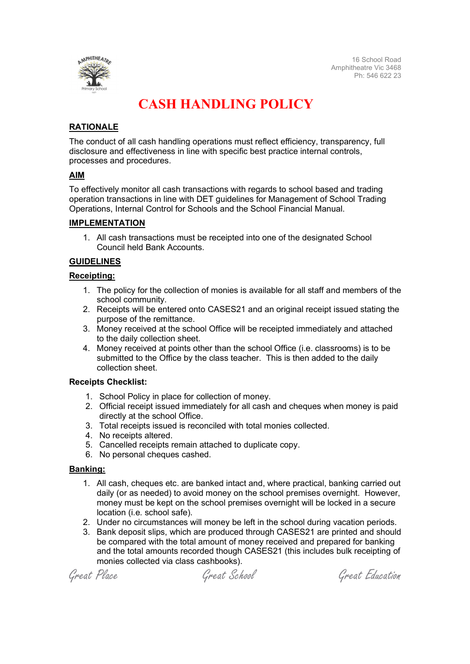

## CASH HANDLING POLICY

## RATIONALE

The conduct of all cash handling operations must reflect efficiency, transparency, full disclosure and effectiveness in line with specific best practice internal controls, processes and procedures.

## AIM

To effectively monitor all cash transactions with regards to school based and trading operation transactions in line with DET guidelines for Management of School Trading Operations, Internal Control for Schools and the School Financial Manual.

### IMPLEMENTATION

1. All cash transactions must be receipted into one of the designated School Council held Bank Accounts.

## GUIDELINES

### Receipting:

- 1. The policy for the collection of monies is available for all staff and members of the school community.
- 2. Receipts will be entered onto CASES21 and an original receipt issued stating the purpose of the remittance.
- 3. Money received at the school Office will be receipted immediately and attached to the daily collection sheet.
- 4. Money received at points other than the school Office (i.e. classrooms) is to be submitted to the Office by the class teacher. This is then added to the daily collection sheet.

### Receipts Checklist:

- 1. School Policy in place for collection of money.
- 2. Official receipt issued immediately for all cash and cheques when money is paid directly at the school Office.
- 3. Total receipts issued is reconciled with total monies collected.
- 4. No receipts altered.
- 5. Cancelled receipts remain attached to duplicate copy.
- 6. No personal cheques cashed.

### Banking:

- 1. All cash, cheques etc. are banked intact and, where practical, banking carried out daily (or as needed) to avoid money on the school premises overnight. However, money must be kept on the school premises overnight will be locked in a secure location (i.e. school safe).
- 2. Under no circumstances will money be left in the school during vacation periods.
- 3. Bank deposit slips, which are produced through CASES21 are printed and should be compared with the total amount of money received and prepared for banking and the total amounts recorded though CASES21 (this includes bulk receipting of monies collected via class cashbooks).

Great Place Great School Great Education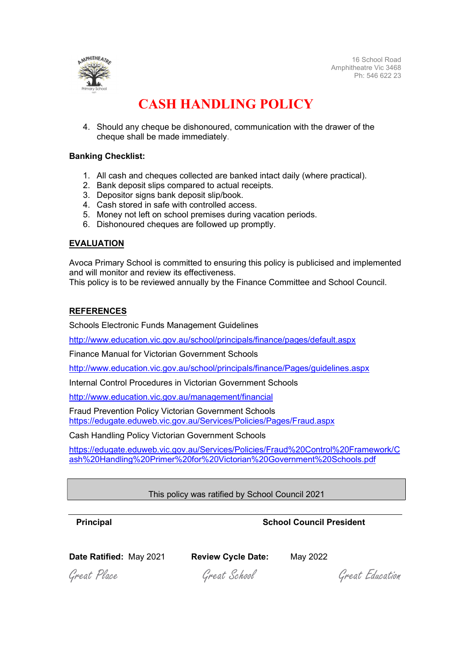

16 School Road Amphitheatre Vic 3468 Ph: 546 622 23

## CASH HANDLING POLICY

4. Should any cheque be dishonoured, communication with the drawer of the cheque shall be made immediately.

### Banking Checklist:

- 1. All cash and cheques collected are banked intact daily (where practical).
- 2. Bank deposit slips compared to actual receipts.
- 3. Depositor signs bank deposit slip/book.
- 4. Cash stored in safe with controlled access.
- 5. Money not left on school premises during vacation periods.
- 6. Dishonoured cheques are followed up promptly.

#### EVALUATION

Avoca Primary School is committed to ensuring this policy is publicised and implemented and will monitor and review its effectiveness.

This policy is to be reviewed annually by the Finance Committee and School Council.

#### REFERENCES

Schools Electronic Funds Management Guidelines

http://www.education.vic.gov.au/school/principals/finance/pages/default.aspx

Finance Manual for Victorian Government Schools

http://www.education.vic.gov.au/school/principals/finance/Pages/guidelines.aspx

Internal Control Procedures in Victorian Government Schools

http://www.education.vic.gov.au/management/financial

Fraud Prevention Policy Victorian Government Schools https://edugate.eduweb.vic.gov.au/Services/Policies/Pages/Fraud.aspx

Cash Handling Policy Victorian Government Schools

https://edugate.eduweb.vic.gov.au/Services/Policies/Fraud%20Control%20Framework/C ash%20Handling%20Primer%20for%20Victorian%20Government%20Schools.pdf

### This policy was ratified by School Council 2021

## **Principal Council President** School Council President

Date Ratified: May 2021 Review Cycle Date: May 2022

Great Place Great School Great Education